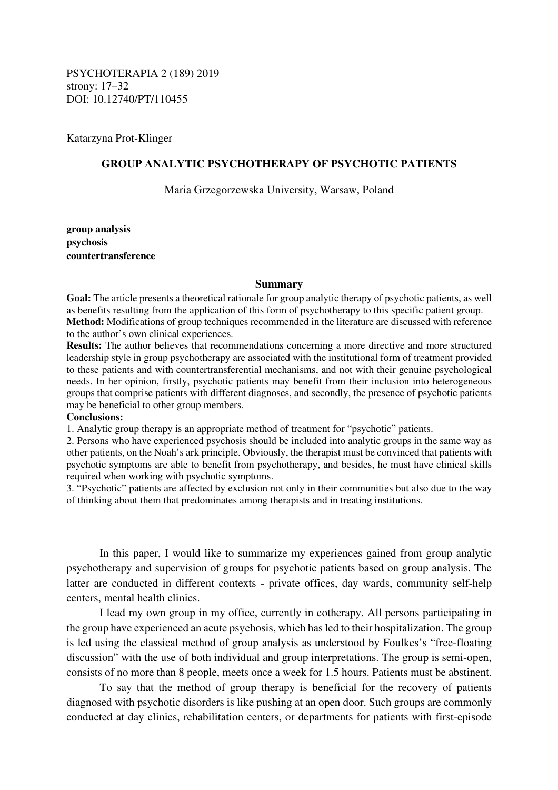PSYCHOTERAPIA 2 (189) 2019 strony: 17–32 DOI: 10.12740/PT/110455

Katarzyna Prot-Klinger

# **GROUP ANALYTIC PSYCHOTHERAPY OF PSYCHOTIC PATIENTS**

Maria Grzegorzewska University, Warsaw, Poland

**group analysis psychosis countertransference** 

#### **Summary**

**Goal:** The article presents a theoretical rationale for group analytic therapy of psychotic patients, as well as benefits resulting from the application of this form of psychotherapy to this specific patient group. **Method:** Modifications of group techniques recommended in the literature are discussed with reference to the author's own clinical experiences.

**Results:** The author believes that recommendations concerning a more directive and more structured leadership style in group psychotherapy are associated with the institutional form of treatment provided to these patients and with countertransferential mechanisms, and not with their genuine psychological needs. In her opinion, firstly, psychotic patients may benefit from their inclusion into heterogeneous groups that comprise patients with different diagnoses, and secondly, the presence of psychotic patients may be beneficial to other group members.

## **Conclusions:**

1. Analytic group therapy is an appropriate method of treatment for "psychotic" patients.

2. Persons who have experienced psychosis should be included into analytic groups in the same way as other patients, on the Noah's ark principle. Obviously, the therapist must be convinced that patients with psychotic symptoms are able to benefit from psychotherapy, and besides, he must have clinical skills required when working with psychotic symptoms.

3. "Psychotic" patients are affected by exclusion not only in their communities but also due to the way of thinking about them that predominates among therapists and in treating institutions.

In this paper, I would like to summarize my experiences gained from group analytic psychotherapy and supervision of groups for psychotic patients based on group analysis. The latter are conducted in different contexts - private offices, day wards, community self-help centers, mental health clinics.

I lead my own group in my office, currently in cotherapy. All persons participating in the group have experienced an acute psychosis, which has led to their hospitalization. The group is led using the classical method of group analysis as understood by Foulkes's "free-floating discussion" with the use of both individual and group interpretations. The group is semi-open, consists of no more than 8 people, meets once a week for 1.5 hours. Patients must be abstinent.

 To say that the method of group therapy is beneficial for the recovery of patients diagnosed with psychotic disorders is like pushing at an open door. Such groups are commonly conducted at day clinics, rehabilitation centers, or departments for patients with first-episode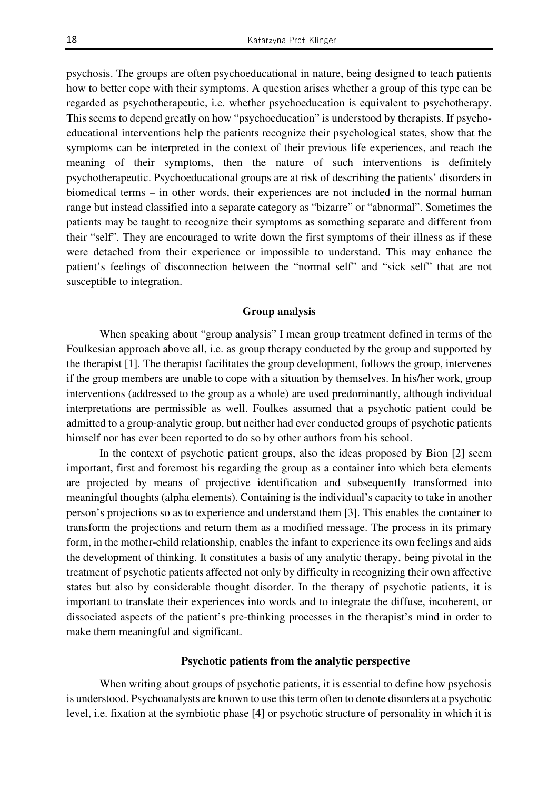psychosis. The groups are often psychoeducational in nature, being designed to teach patients how to better cope with their symptoms. A question arises whether a group of this type can be regarded as psychotherapeutic, i.e. whether psychoeducation is equivalent to psychotherapy. This seems to depend greatly on how "psychoeducation" is understood by therapists. If psychoeducational interventions help the patients recognize their psychological states, show that the symptoms can be interpreted in the context of their previous life experiences, and reach the meaning of their symptoms, then the nature of such interventions is definitely psychotherapeutic. Psychoeducational groups are at risk of describing the patients' disorders in biomedical terms – in other words, their experiences are not included in the normal human range but instead classified into a separate category as "bizarre" or "abnormal". Sometimes the patients may be taught to recognize their symptoms as something separate and different from their "self". They are encouraged to write down the first symptoms of their illness as if these were detached from their experience or impossible to understand. This may enhance the patient's feelings of disconnection between the "normal self" and "sick self" that are not susceptible to integration.

# **Group analysis**

When speaking about "group analysis" I mean group treatment defined in terms of the Foulkesian approach above all, i.e. as group therapy conducted by the group and supported by the therapist [1]. The therapist facilitates the group development, follows the group, intervenes if the group members are unable to cope with a situation by themselves. In his/her work, group interventions (addressed to the group as a whole) are used predominantly, although individual interpretations are permissible as well. Foulkes assumed that a psychotic patient could be admitted to a group-analytic group, but neither had ever conducted groups of psychotic patients himself nor has ever been reported to do so by other authors from his school.

In the context of psychotic patient groups, also the ideas proposed by Bion [2] seem important, first and foremost his regarding the group as a container into which beta elements are projected by means of projective identification and subsequently transformed into meaningful thoughts (alpha elements). Containing is the individual's capacity to take in another person's projections so as to experience and understand them [3]. This enables the container to transform the projections and return them as a modified message. The process in its primary form, in the mother-child relationship, enables the infant to experience its own feelings and aids the development of thinking. It constitutes a basis of any analytic therapy, being pivotal in the treatment of psychotic patients affected not only by difficulty in recognizing their own affective states but also by considerable thought disorder. In the therapy of psychotic patients, it is important to translate their experiences into words and to integrate the diffuse, incoherent, or dissociated aspects of the patient's pre-thinking processes in the therapist's mind in order to make them meaningful and significant.

### **Psychotic patients from the analytic perspective**

When writing about groups of psychotic patients, it is essential to define how psychosis is understood. Psychoanalysts are known to use this term often to denote disorders at a psychotic level, i.e. fixation at the symbiotic phase [4] or psychotic structure of personality in which it is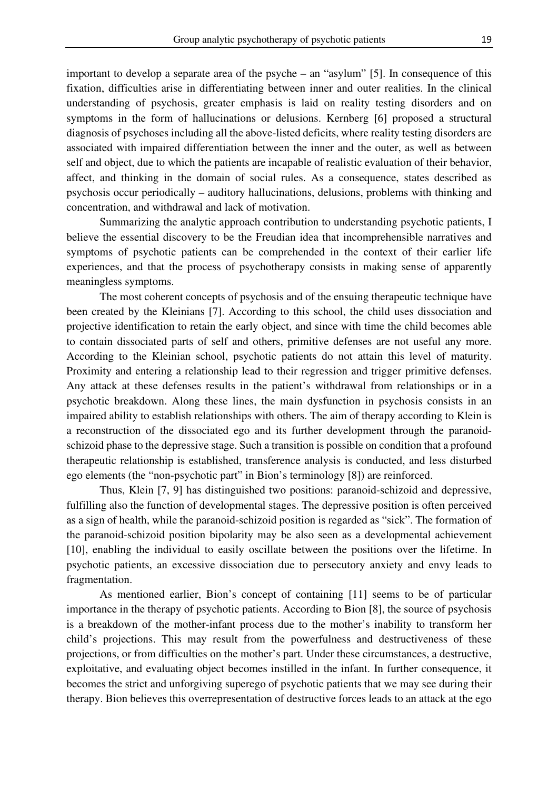important to develop a separate area of the psyche – an "asylum" [5]. In consequence of this fixation, difficulties arise in differentiating between inner and outer realities. In the clinical understanding of psychosis, greater emphasis is laid on reality testing disorders and on symptoms in the form of hallucinations or delusions. Kernberg [6] proposed a structural diagnosis of psychoses including all the above-listed deficits, where reality testing disorders are associated with impaired differentiation between the inner and the outer, as well as between self and object, due to which the patients are incapable of realistic evaluation of their behavior, affect, and thinking in the domain of social rules. As a consequence, states described as psychosis occur periodically – auditory hallucinations, delusions, problems with thinking and concentration, and withdrawal and lack of motivation.

Summarizing the analytic approach contribution to understanding psychotic patients, I believe the essential discovery to be the Freudian idea that incomprehensible narratives and symptoms of psychotic patients can be comprehended in the context of their earlier life experiences, and that the process of psychotherapy consists in making sense of apparently meaningless symptoms.

The most coherent concepts of psychosis and of the ensuing therapeutic technique have been created by the Kleinians [7]. According to this school, the child uses dissociation and projective identification to retain the early object, and since with time the child becomes able to contain dissociated parts of self and others, primitive defenses are not useful any more. According to the Kleinian school, psychotic patients do not attain this level of maturity. Proximity and entering a relationship lead to their regression and trigger primitive defenses. Any attack at these defenses results in the patient's withdrawal from relationships or in a psychotic breakdown. Along these lines, the main dysfunction in psychosis consists in an impaired ability to establish relationships with others. The aim of therapy according to Klein is a reconstruction of the dissociated ego and its further development through the paranoidschizoid phase to the depressive stage. Such a transition is possible on condition that a profound therapeutic relationship is established, transference analysis is conducted, and less disturbed ego elements (the "non-psychotic part" in Bion's terminology [8]) are reinforced.

Thus, Klein [7, 9] has distinguished two positions: paranoid-schizoid and depressive, fulfilling also the function of developmental stages. The depressive position is often perceived as a sign of health, while the paranoid-schizoid position is regarded as "sick". The formation of the paranoid-schizoid position bipolarity may be also seen as a developmental achievement [10], enabling the individual to easily oscillate between the positions over the lifetime. In psychotic patients, an excessive dissociation due to persecutory anxiety and envy leads to fragmentation.

As mentioned earlier, Bion's concept of containing [11] seems to be of particular importance in the therapy of psychotic patients. According to Bion [8], the source of psychosis is a breakdown of the mother-infant process due to the mother's inability to transform her child's projections. This may result from the powerfulness and destructiveness of these projections, or from difficulties on the mother's part. Under these circumstances, a destructive, exploitative, and evaluating object becomes instilled in the infant. In further consequence, it becomes the strict and unforgiving superego of psychotic patients that we may see during their therapy. Bion believes this overrepresentation of destructive forces leads to an attack at the ego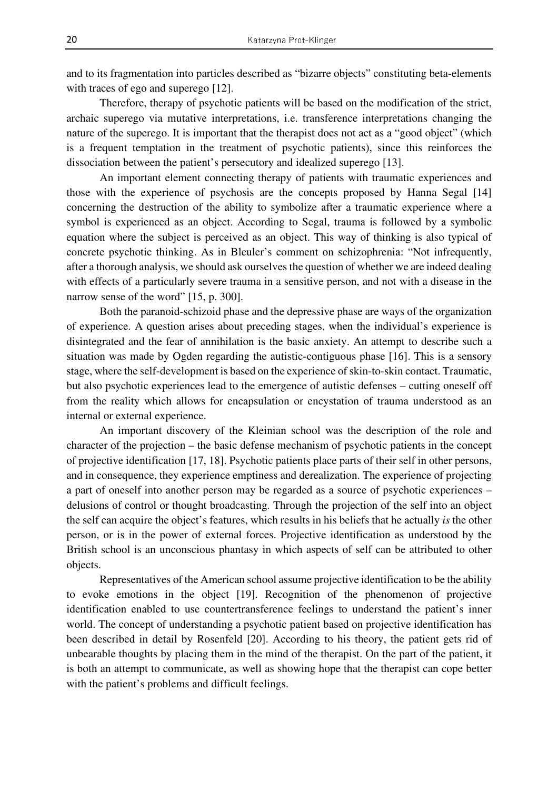and to its fragmentation into particles described as "bizarre objects" constituting beta-elements with traces of ego and superego [12].

Therefore, therapy of psychotic patients will be based on the modification of the strict, archaic superego via mutative interpretations, i.e. transference interpretations changing the nature of the superego. It is important that the therapist does not act as a "good object" (which is a frequent temptation in the treatment of psychotic patients), since this reinforces the dissociation between the patient's persecutory and idealized superego [13].

An important element connecting therapy of patients with traumatic experiences and those with the experience of psychosis are the concepts proposed by Hanna Segal [14] concerning the destruction of the ability to symbolize after a traumatic experience where a symbol is experienced as an object. According to Segal, trauma is followed by a symbolic equation where the subject is perceived as an object. This way of thinking is also typical of concrete psychotic thinking. As in Bleuler's comment on schizophrenia: "Not infrequently, after a thorough analysis, we should ask ourselves the question of whether we are indeed dealing with effects of a particularly severe trauma in a sensitive person, and not with a disease in the narrow sense of the word" [15, p. 300].

Both the paranoid-schizoid phase and the depressive phase are ways of the organization of experience. A question arises about preceding stages, when the individual's experience is disintegrated and the fear of annihilation is the basic anxiety. An attempt to describe such a situation was made by Ogden regarding the autistic-contiguous phase [16]. This is a sensory stage, where the self-development is based on the experience of skin-to-skin contact. Traumatic, but also psychotic experiences lead to the emergence of autistic defenses – cutting oneself off from the reality which allows for encapsulation or encystation of trauma understood as an internal or external experience.

An important discovery of the Kleinian school was the description of the role and character of the projection – the basic defense mechanism of psychotic patients in the concept of projective identification [17, 18]. Psychotic patients place parts of their self in other persons, and in consequence, they experience emptiness and derealization. The experience of projecting a part of oneself into another person may be regarded as a source of psychotic experiences – delusions of control or thought broadcasting. Through the projection of the self into an object the self can acquire the object's features, which results in his beliefs that he actually *is* the other person, or is in the power of external forces. Projective identification as understood by the British school is an unconscious phantasy in which aspects of self can be attributed to other objects.

Representatives of the American school assume projective identification to be the ability to evoke emotions in the object [19]. Recognition of the phenomenon of projective identification enabled to use countertransference feelings to understand the patient's inner world. The concept of understanding a psychotic patient based on projective identification has been described in detail by Rosenfeld [20]. According to his theory, the patient gets rid of unbearable thoughts by placing them in the mind of the therapist. On the part of the patient, it is both an attempt to communicate, as well as showing hope that the therapist can cope better with the patient's problems and difficult feelings.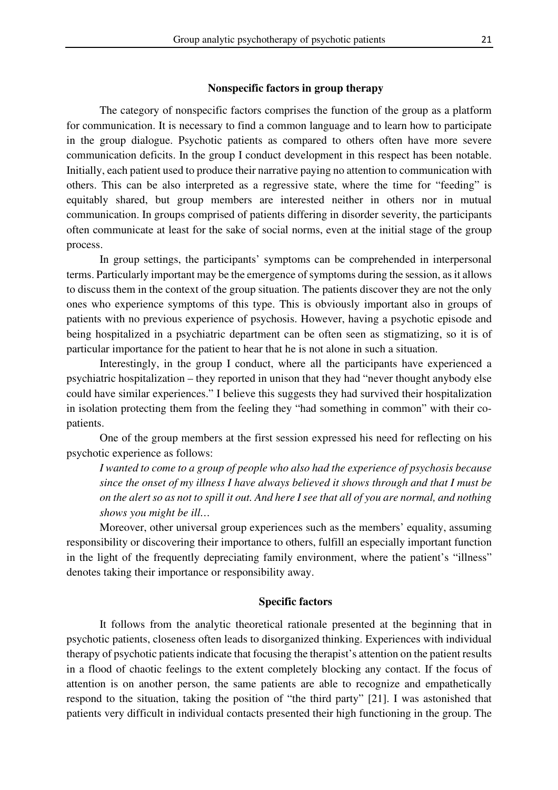## **Nonspecific factors in group therapy**

The category of nonspecific factors comprises the function of the group as a platform for communication. It is necessary to find a common language and to learn how to participate in the group dialogue. Psychotic patients as compared to others often have more severe communication deficits. In the group I conduct development in this respect has been notable. Initially, each patient used to produce their narrative paying no attention to communication with others. This can be also interpreted as a regressive state, where the time for "feeding" is equitably shared, but group members are interested neither in others nor in mutual communication. In groups comprised of patients differing in disorder severity, the participants often communicate at least for the sake of social norms, even at the initial stage of the group process.

In group settings, the participants' symptoms can be comprehended in interpersonal terms. Particularly important may be the emergence of symptoms during the session, as it allows to discuss them in the context of the group situation. The patients discover they are not the only ones who experience symptoms of this type. This is obviously important also in groups of patients with no previous experience of psychosis. However, having a psychotic episode and being hospitalized in a psychiatric department can be often seen as stigmatizing, so it is of particular importance for the patient to hear that he is not alone in such a situation.

Interestingly, in the group I conduct, where all the participants have experienced a psychiatric hospitalization – they reported in unison that they had "never thought anybody else could have similar experiences." I believe this suggests they had survived their hospitalization in isolation protecting them from the feeling they "had something in common" with their copatients.

One of the group members at the first session expressed his need for reflecting on his psychotic experience as follows:

*I wanted to come to a group of people who also had the experience of psychosis because since the onset of my illness I have always believed it shows through and that I must be on the alert so as not to spill it out. And here I see that all of you are normal, and nothing shows you might be ill…* 

Moreover, other universal group experiences such as the members' equality, assuming responsibility or discovering their importance to others, fulfill an especially important function in the light of the frequently depreciating family environment, where the patient's "illness" denotes taking their importance or responsibility away.

# **Specific factors**

It follows from the analytic theoretical rationale presented at the beginning that in psychotic patients, closeness often leads to disorganized thinking. Experiences with individual therapy of psychotic patients indicate that focusing the therapist's attention on the patient results in a flood of chaotic feelings to the extent completely blocking any contact. If the focus of attention is on another person, the same patients are able to recognize and empathetically respond to the situation, taking the position of "the third party" [21]. I was astonished that patients very difficult in individual contacts presented their high functioning in the group. The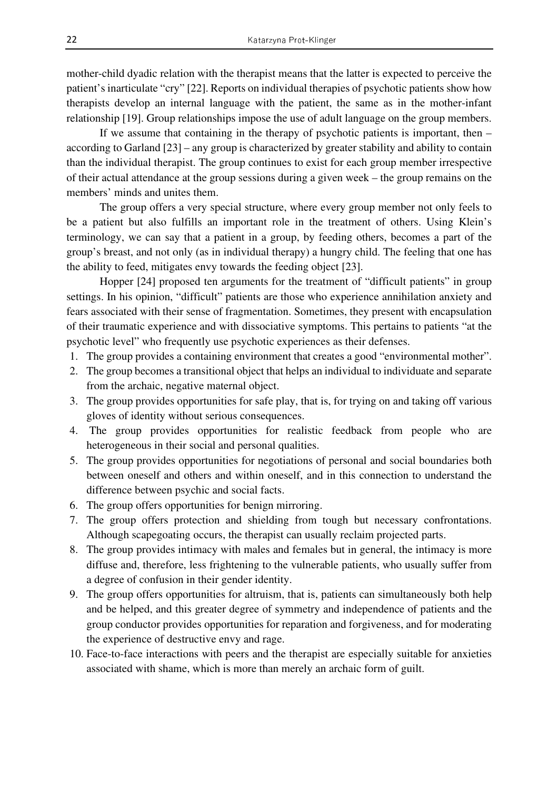mother-child dyadic relation with the therapist means that the latter is expected to perceive the patient's inarticulate "cry" [22]. Reports on individual therapies of psychotic patients show how therapists develop an internal language with the patient, the same as in the mother-infant relationship [19]. Group relationships impose the use of adult language on the group members.

If we assume that containing in the therapy of psychotic patients is important, then – according to Garland [23] – any group is characterized by greater stability and ability to contain than the individual therapist. The group continues to exist for each group member irrespective of their actual attendance at the group sessions during a given week – the group remains on the members' minds and unites them.

The group offers a very special structure, where every group member not only feels to be a patient but also fulfills an important role in the treatment of others. Using Klein's terminology, we can say that a patient in a group, by feeding others, becomes a part of the group's breast, and not only (as in individual therapy) a hungry child. The feeling that one has the ability to feed, mitigates envy towards the feeding object [23].

Hopper [24] proposed ten arguments for the treatment of "difficult patients" in group settings. In his opinion, "difficult" patients are those who experience annihilation anxiety and fears associated with their sense of fragmentation. Sometimes, they present with encapsulation of their traumatic experience and with dissociative symptoms. This pertains to patients "at the psychotic level" who frequently use psychotic experiences as their defenses.

- 1. The group provides a containing environment that creates a good "environmental mother".
- 2. The group becomes a transitional object that helps an individual to individuate and separate from the archaic, negative maternal object.
- 3. The group provides opportunities for safe play, that is, for trying on and taking off various gloves of identity without serious consequences.
- 4. The group provides opportunities for realistic feedback from people who are heterogeneous in their social and personal qualities.
- 5. The group provides opportunities for negotiations of personal and social boundaries both between oneself and others and within oneself, and in this connection to understand the difference between psychic and social facts.
- 6. The group offers opportunities for benign mirroring.
- 7. The group offers protection and shielding from tough but necessary confrontations. Although scapegoating occurs, the therapist can usually reclaim projected parts.
- 8. The group provides intimacy with males and females but in general, the intimacy is more diffuse and, therefore, less frightening to the vulnerable patients, who usually suffer from a degree of confusion in their gender identity.
- 9. The group offers opportunities for altruism, that is, patients can simultaneously both help and be helped, and this greater degree of symmetry and independence of patients and the group conductor provides opportunities for reparation and forgiveness, and for moderating the experience of destructive envy and rage.
- 10. Face-to-face interactions with peers and the therapist are especially suitable for anxieties associated with shame, which is more than merely an archaic form of guilt.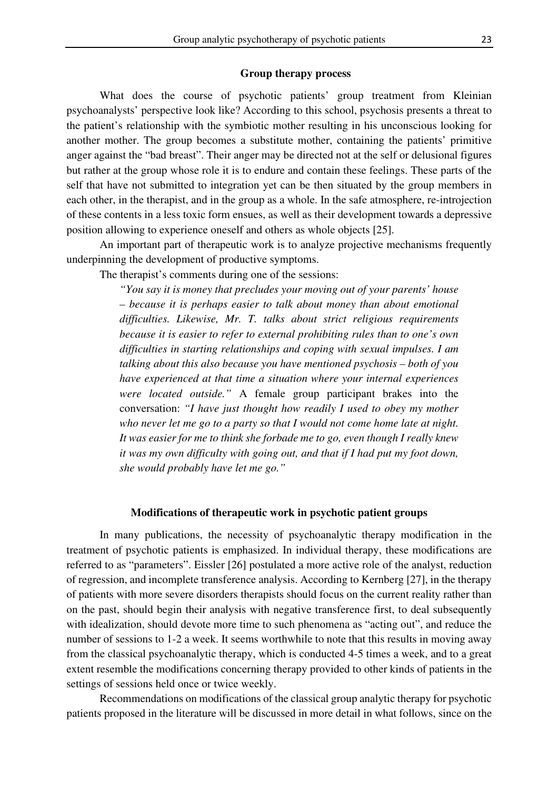#### **Group therapy process**

What does the course of psychotic patients' group treatment from Kleinian psychoanalysts' perspective look like? According to this school, psychosis presents a threat to the patient's relationship with the symbiotic mother resulting in his unconscious looking for another mother. The group becomes a substitute mother, containing the patients' primitive anger against the "bad breast". Their anger may be directed not at the self or delusional figures but rather at the group whose role it is to endure and contain these feelings. These parts of the self that have not submitted to integration yet can be then situated by the group members in each other, in the therapist, and in the group as a whole. In the safe atmosphere, re-introjection of these contents in a less toxic form ensues, as well as their development towards a depressive position allowing to experience oneself and others as whole objects [25].

 An important part of therapeutic work is to analyze projective mechanisms frequently underpinning the development of productive symptoms.

The therapist's comments during one of the sessions:

*"You say it is money that precludes your moving out of your parents' house – because it is perhaps easier to talk about money than about emotional difficulties. Likewise, Mr. T. talks about strict religious requirements because it is easier to refer to external prohibiting rules than to one's own difficulties in starting relationships and coping with sexual impulses. I am talking about this also because you have mentioned psychosis – both of you have experienced at that time a situation where your internal experiences were located outside."* A female group participant brakes into the conversation: *"I have just thought how readily I used to obey my mother who never let me go to a party so that I would not come home late at night. It was easier for me to think she forbade me to go, even though I really knew it was my own difficulty with going out, and that if I had put my foot down, she would probably have let me go."* 

## **Modifications of therapeutic work in psychotic patient groups**

In many publications, the necessity of psychoanalytic therapy modification in the treatment of psychotic patients is emphasized. In individual therapy, these modifications are referred to as "parameters". Eissler [26] postulated a more active role of the analyst, reduction of regression, and incomplete transference analysis. According to Kernberg [27], in the therapy of patients with more severe disorders therapists should focus on the current reality rather than on the past, should begin their analysis with negative transference first, to deal subsequently with idealization, should devote more time to such phenomena as "acting out", and reduce the number of sessions to 1-2 a week. It seems worthwhile to note that this results in moving away from the classical psychoanalytic therapy, which is conducted 4-5 times a week, and to a great extent resemble the modifications concerning therapy provided to other kinds of patients in the settings of sessions held once or twice weekly.

 Recommendations on modifications of the classical group analytic therapy for psychotic patients proposed in the literature will be discussed in more detail in what follows, since on the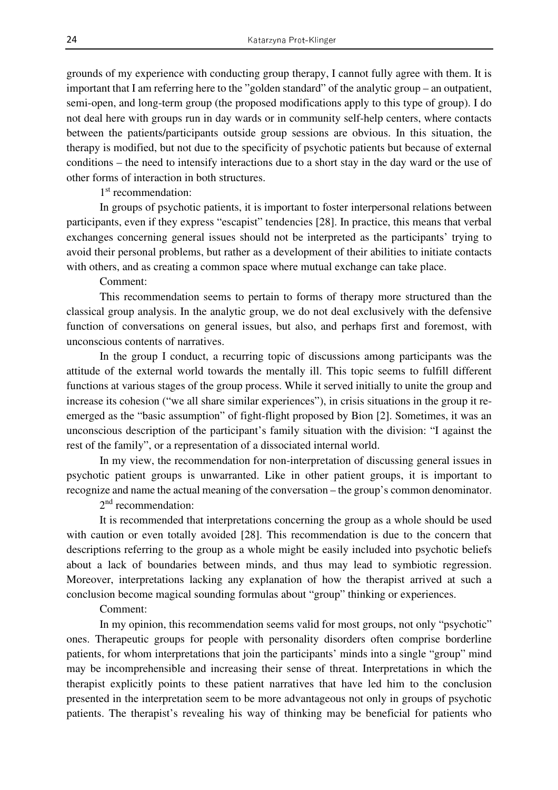grounds of my experience with conducting group therapy, I cannot fully agree with them. It is important that I am referring here to the "golden standard" of the analytic group – an outpatient, semi-open, and long-term group (the proposed modifications apply to this type of group). I do not deal here with groups run in day wards or in community self-help centers, where contacts between the patients/participants outside group sessions are obvious. In this situation, the therapy is modified, but not due to the specificity of psychotic patients but because of external conditions – the need to intensify interactions due to a short stay in the day ward or the use of other forms of interaction in both structures.

1<sup>st</sup> recommendation:

In groups of psychotic patients, it is important to foster interpersonal relations between participants, even if they express "escapist" tendencies [28]. In practice, this means that verbal exchanges concerning general issues should not be interpreted as the participants' trying to avoid their personal problems, but rather as a development of their abilities to initiate contacts with others, and as creating a common space where mutual exchange can take place.

Comment:

This recommendation seems to pertain to forms of therapy more structured than the classical group analysis. In the analytic group, we do not deal exclusively with the defensive function of conversations on general issues, but also, and perhaps first and foremost, with unconscious contents of narratives.

In the group I conduct, a recurring topic of discussions among participants was the attitude of the external world towards the mentally ill. This topic seems to fulfill different functions at various stages of the group process. While it served initially to unite the group and increase its cohesion ("we all share similar experiences"), in crisis situations in the group it reemerged as the "basic assumption" of fight-flight proposed by Bion [2]. Sometimes, it was an unconscious description of the participant's family situation with the division: "I against the rest of the family", or a representation of a dissociated internal world.

 In my view, the recommendation for non-interpretation of discussing general issues in psychotic patient groups is unwarranted. Like in other patient groups, it is important to recognize and name the actual meaning of the conversation – the group's common denominator.

2<sup>nd</sup> recommendation:

It is recommended that interpretations concerning the group as a whole should be used with caution or even totally avoided [28]. This recommendation is due to the concern that descriptions referring to the group as a whole might be easily included into psychotic beliefs about a lack of boundaries between minds, and thus may lead to symbiotic regression. Moreover, interpretations lacking any explanation of how the therapist arrived at such a conclusion become magical sounding formulas about "group" thinking or experiences.

Comment:

In my opinion, this recommendation seems valid for most groups, not only "psychotic" ones. Therapeutic groups for people with personality disorders often comprise borderline patients, for whom interpretations that join the participants' minds into a single "group" mind may be incomprehensible and increasing their sense of threat. Interpretations in which the therapist explicitly points to these patient narratives that have led him to the conclusion presented in the interpretation seem to be more advantageous not only in groups of psychotic patients. The therapist's revealing his way of thinking may be beneficial for patients who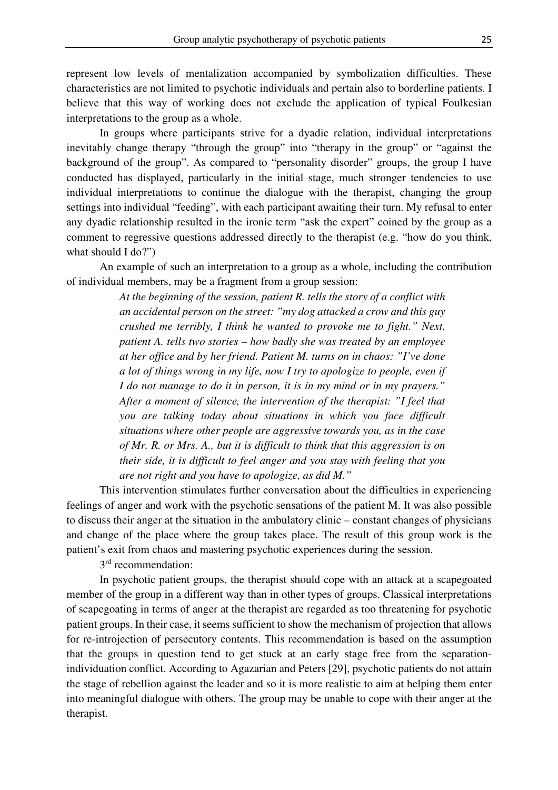represent low levels of mentalization accompanied by symbolization difficulties. These characteristics are not limited to psychotic individuals and pertain also to borderline patients. I believe that this way of working does not exclude the application of typical Foulkesian interpretations to the group as a whole.

 In groups where participants strive for a dyadic relation, individual interpretations inevitably change therapy "through the group" into "therapy in the group" or "against the background of the group". As compared to "personality disorder" groups, the group I have conducted has displayed, particularly in the initial stage, much stronger tendencies to use individual interpretations to continue the dialogue with the therapist, changing the group settings into individual "feeding", with each participant awaiting their turn. My refusal to enter any dyadic relationship resulted in the ironic term "ask the expert" coined by the group as a comment to regressive questions addressed directly to the therapist (e.g. "how do you think, what should I do?")

An example of such an interpretation to a group as a whole, including the contribution of individual members, may be a fragment from a group session:

> *At the beginning of the session, patient R. tells the story of a conflict with an accidental person on the street: "my dog attacked a crow and this guy crushed me terribly, I think he wanted to provoke me to fight." Next, patient A. tells two stories – how badly she was treated by an employee at her office and by her friend. Patient M. turns on in chaos: "I've done a lot of things wrong in my life, now I try to apologize to people, even if I do not manage to do it in person, it is in my mind or in my prayers." After a moment of silence, the intervention of the therapist: "I feel that you are talking today about situations in which you face difficult situations where other people are aggressive towards you, as in the case of Mr. R. or Mrs. A., but it is difficult to think that this aggression is on their side, it is difficult to feel anger and you stay with feeling that you are not right and you have to apologize, as did M."*

This intervention stimulates further conversation about the difficulties in experiencing feelings of anger and work with the psychotic sensations of the patient M. It was also possible to discuss their anger at the situation in the ambulatory clinic – constant changes of physicians and change of the place where the group takes place. The result of this group work is the patient's exit from chaos and mastering psychotic experiences during the session.

3<sup>rd</sup> recommendation:

In psychotic patient groups, the therapist should cope with an attack at a scapegoated member of the group in a different way than in other types of groups. Classical interpretations of scapegoating in terms of anger at the therapist are regarded as too threatening for psychotic patient groups. In their case, it seems sufficient to show the mechanism of projection that allows for re-introjection of persecutory contents. This recommendation is based on the assumption that the groups in question tend to get stuck at an early stage free from the separationindividuation conflict. According to Agazarian and Peters [29], psychotic patients do not attain the stage of rebellion against the leader and so it is more realistic to aim at helping them enter into meaningful dialogue with others. The group may be unable to cope with their anger at the therapist.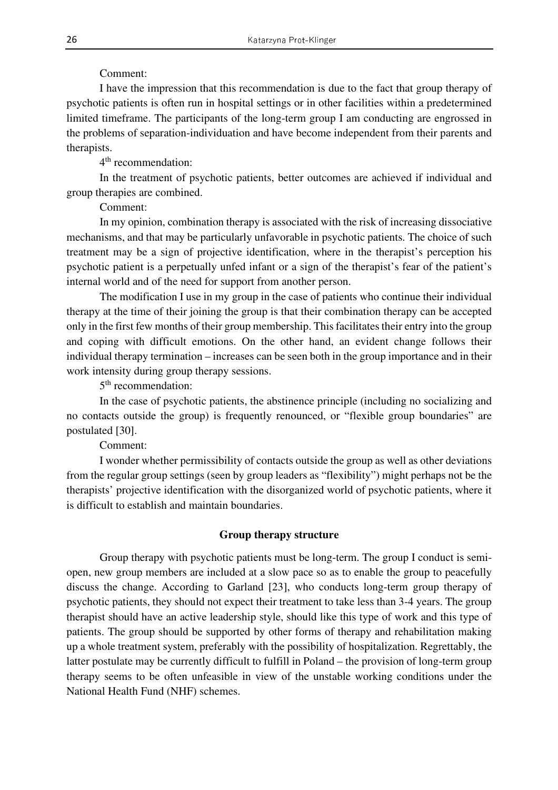Comment:

I have the impression that this recommendation is due to the fact that group therapy of psychotic patients is often run in hospital settings or in other facilities within a predetermined limited timeframe. The participants of the long-term group I am conducting are engrossed in the problems of separation-individuation and have become independent from their parents and therapists.

4<sup>th</sup> recommendation:

In the treatment of psychotic patients, better outcomes are achieved if individual and group therapies are combined.

Comment:

In my opinion, combination therapy is associated with the risk of increasing dissociative mechanisms, and that may be particularly unfavorable in psychotic patients. The choice of such treatment may be a sign of projective identification, where in the therapist's perception his psychotic patient is a perpetually unfed infant or a sign of the therapist's fear of the patient's internal world and of the need for support from another person.

The modification I use in my group in the case of patients who continue their individual therapy at the time of their joining the group is that their combination therapy can be accepted only in the first few months of their group membership. This facilitates their entry into the group and coping with difficult emotions. On the other hand, an evident change follows their individual therapy termination – increases can be seen both in the group importance and in their work intensity during group therapy sessions.

5<sup>th</sup> recommendation:

In the case of psychotic patients, the abstinence principle (including no socializing and no contacts outside the group) is frequently renounced, or "flexible group boundaries" are postulated [30].

Comment:

I wonder whether permissibility of contacts outside the group as well as other deviations from the regular group settings (seen by group leaders as "flexibility") might perhaps not be the therapists' projective identification with the disorganized world of psychotic patients, where it is difficult to establish and maintain boundaries.

# **Group therapy structure**

Group therapy with psychotic patients must be long-term. The group I conduct is semiopen, new group members are included at a slow pace so as to enable the group to peacefully discuss the change. According to Garland [23], who conducts long-term group therapy of psychotic patients, they should not expect their treatment to take less than 3-4 years. The group therapist should have an active leadership style, should like this type of work and this type of patients. The group should be supported by other forms of therapy and rehabilitation making up a whole treatment system, preferably with the possibility of hospitalization. Regrettably, the latter postulate may be currently difficult to fulfill in Poland – the provision of long-term group therapy seems to be often unfeasible in view of the unstable working conditions under the National Health Fund (NHF) schemes.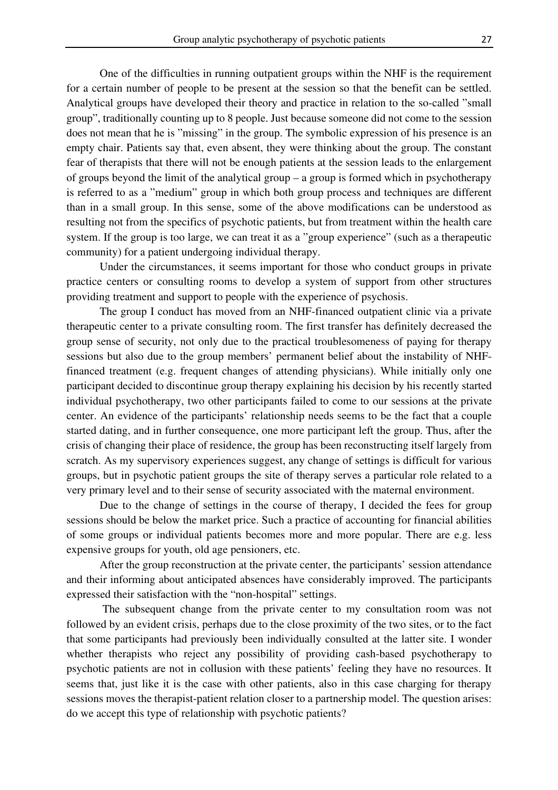One of the difficulties in running outpatient groups within the NHF is the requirement for a certain number of people to be present at the session so that the benefit can be settled. Analytical groups have developed their theory and practice in relation to the so-called "small group", traditionally counting up to 8 people. Just because someone did not come to the session does not mean that he is "missing" in the group. The symbolic expression of his presence is an empty chair. Patients say that, even absent, they were thinking about the group. The constant fear of therapists that there will not be enough patients at the session leads to the enlargement of groups beyond the limit of the analytical group – a group is formed which in psychotherapy is referred to as a "medium" group in which both group process and techniques are different than in a small group. In this sense, some of the above modifications can be understood as resulting not from the specifics of psychotic patients, but from treatment within the health care system. If the group is too large, we can treat it as a "group experience" (such as a therapeutic community) for a patient undergoing individual therapy.

Under the circumstances, it seems important for those who conduct groups in private practice centers or consulting rooms to develop a system of support from other structures providing treatment and support to people with the experience of psychosis.

 The group I conduct has moved from an NHF-financed outpatient clinic via a private therapeutic center to a private consulting room. The first transfer has definitely decreased the group sense of security, not only due to the practical troublesomeness of paying for therapy sessions but also due to the group members' permanent belief about the instability of NHFfinanced treatment (e.g. frequent changes of attending physicians). While initially only one participant decided to discontinue group therapy explaining his decision by his recently started individual psychotherapy, two other participants failed to come to our sessions at the private center. An evidence of the participants' relationship needs seems to be the fact that a couple started dating, and in further consequence, one more participant left the group. Thus, after the crisis of changing their place of residence, the group has been reconstructing itself largely from scratch. As my supervisory experiences suggest, any change of settings is difficult for various groups, but in psychotic patient groups the site of therapy serves a particular role related to a very primary level and to their sense of security associated with the maternal environment.

Due to the change of settings in the course of therapy, I decided the fees for group sessions should be below the market price. Such a practice of accounting for financial abilities of some groups or individual patients becomes more and more popular. There are e.g. less expensive groups for youth, old age pensioners, etc.

After the group reconstruction at the private center, the participants' session attendance and their informing about anticipated absences have considerably improved. The participants expressed their satisfaction with the "non-hospital" settings.

 The subsequent change from the private center to my consultation room was not followed by an evident crisis, perhaps due to the close proximity of the two sites, or to the fact that some participants had previously been individually consulted at the latter site. I wonder whether therapists who reject any possibility of providing cash-based psychotherapy to psychotic patients are not in collusion with these patients' feeling they have no resources. It seems that, just like it is the case with other patients, also in this case charging for therapy sessions moves the therapist-patient relation closer to a partnership model. The question arises: do we accept this type of relationship with psychotic patients?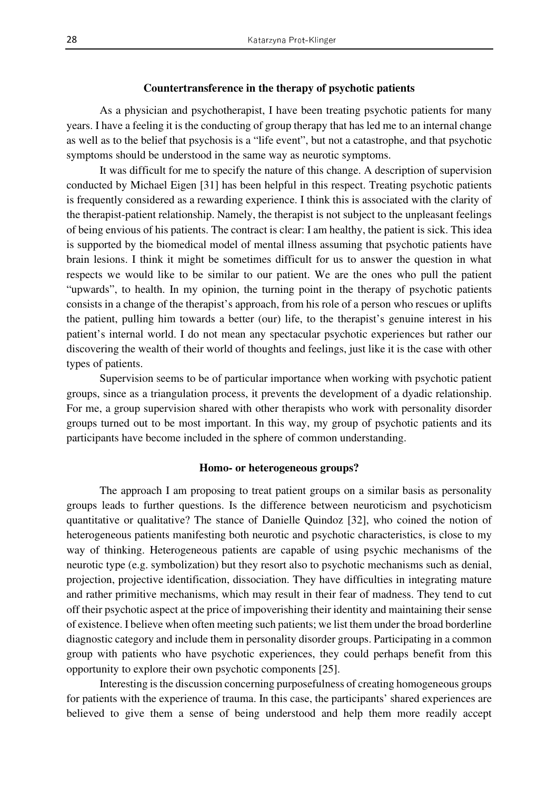## **Countertransference in the therapy of psychotic patients**

As a physician and psychotherapist, I have been treating psychotic patients for many years. I have a feeling it is the conducting of group therapy that has led me to an internal change as well as to the belief that psychosis is a "life event", but not a catastrophe, and that psychotic symptoms should be understood in the same way as neurotic symptoms.

It was difficult for me to specify the nature of this change. A description of supervision conducted by Michael Eigen [31] has been helpful in this respect. Treating psychotic patients is frequently considered as a rewarding experience. I think this is associated with the clarity of the therapist-patient relationship. Namely, the therapist is not subject to the unpleasant feelings of being envious of his patients. The contract is clear: I am healthy, the patient is sick. This idea is supported by the biomedical model of mental illness assuming that psychotic patients have brain lesions. I think it might be sometimes difficult for us to answer the question in what respects we would like to be similar to our patient. We are the ones who pull the patient "upwards", to health. In my opinion, the turning point in the therapy of psychotic patients consists in a change of the therapist's approach, from his role of a person who rescues or uplifts the patient, pulling him towards a better (our) life, to the therapist's genuine interest in his patient's internal world. I do not mean any spectacular psychotic experiences but rather our discovering the wealth of their world of thoughts and feelings, just like it is the case with other types of patients.

Supervision seems to be of particular importance when working with psychotic patient groups, since as a triangulation process, it prevents the development of a dyadic relationship. For me, a group supervision shared with other therapists who work with personality disorder groups turned out to be most important. In this way, my group of psychotic patients and its participants have become included in the sphere of common understanding.

## **Homo- or heterogeneous groups?**

 The approach I am proposing to treat patient groups on a similar basis as personality groups leads to further questions. Is the difference between neuroticism and psychoticism quantitative or qualitative? The stance of Danielle Quindoz [32], who coined the notion of heterogeneous patients manifesting both neurotic and psychotic characteristics, is close to my way of thinking. Heterogeneous patients are capable of using psychic mechanisms of the neurotic type (e.g. symbolization) but they resort also to psychotic mechanisms such as denial, projection, projective identification, dissociation. They have difficulties in integrating mature and rather primitive mechanisms, which may result in their fear of madness. They tend to cut off their psychotic aspect at the price of impoverishing their identity and maintaining their sense of existence. I believe when often meeting such patients; we list them under the broad borderline diagnostic category and include them in personality disorder groups. Participating in a common group with patients who have psychotic experiences, they could perhaps benefit from this opportunity to explore their own psychotic components [25].

Interesting is the discussion concerning purposefulness of creating homogeneous groups for patients with the experience of trauma. In this case, the participants' shared experiences are believed to give them a sense of being understood and help them more readily accept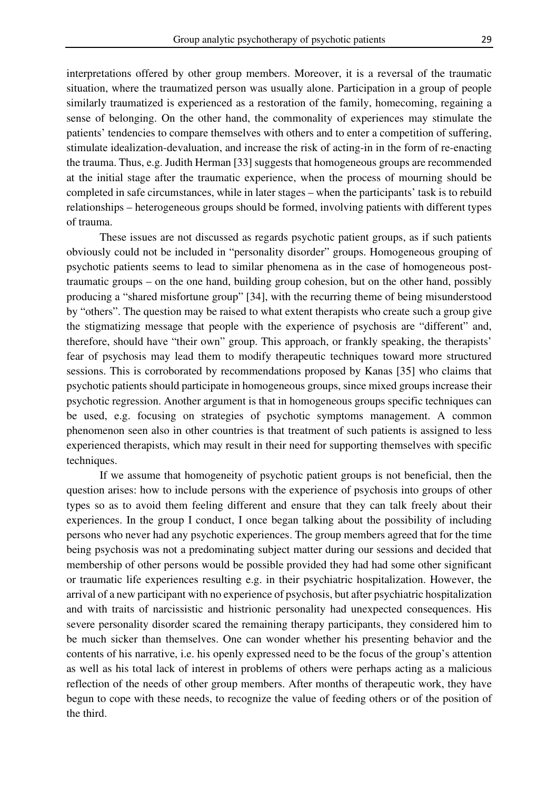interpretations offered by other group members. Moreover, it is a reversal of the traumatic situation, where the traumatized person was usually alone. Participation in a group of people similarly traumatized is experienced as a restoration of the family, homecoming, regaining a sense of belonging. On the other hand, the commonality of experiences may stimulate the patients' tendencies to compare themselves with others and to enter a competition of suffering, stimulate idealization-devaluation, and increase the risk of acting-in in the form of re-enacting the trauma. Thus, e.g. Judith Herman [33] suggests that homogeneous groups are recommended at the initial stage after the traumatic experience, when the process of mourning should be completed in safe circumstances, while in later stages – when the participants' task is to rebuild relationships – heterogeneous groups should be formed, involving patients with different types of trauma.

These issues are not discussed as regards psychotic patient groups, as if such patients obviously could not be included in "personality disorder" groups. Homogeneous grouping of psychotic patients seems to lead to similar phenomena as in the case of homogeneous posttraumatic groups – on the one hand, building group cohesion, but on the other hand, possibly producing a "shared misfortune group" [34], with the recurring theme of being misunderstood by "others". The question may be raised to what extent therapists who create such a group give the stigmatizing message that people with the experience of psychosis are "different" and, therefore, should have "their own" group. This approach, or frankly speaking, the therapists' fear of psychosis may lead them to modify therapeutic techniques toward more structured sessions. This is corroborated by recommendations proposed by Kanas [35] who claims that psychotic patients should participate in homogeneous groups, since mixed groups increase their psychotic regression. Another argument is that in homogeneous groups specific techniques can be used, e.g. focusing on strategies of psychotic symptoms management. A common phenomenon seen also in other countries is that treatment of such patients is assigned to less experienced therapists, which may result in their need for supporting themselves with specific techniques.

If we assume that homogeneity of psychotic patient groups is not beneficial, then the question arises: how to include persons with the experience of psychosis into groups of other types so as to avoid them feeling different and ensure that they can talk freely about their experiences. In the group I conduct, I once began talking about the possibility of including persons who never had any psychotic experiences. The group members agreed that for the time being psychosis was not a predominating subject matter during our sessions and decided that membership of other persons would be possible provided they had had some other significant or traumatic life experiences resulting e.g. in their psychiatric hospitalization. However, the arrival of a new participant with no experience of psychosis, but after psychiatric hospitalization and with traits of narcissistic and histrionic personality had unexpected consequences. His severe personality disorder scared the remaining therapy participants, they considered him to be much sicker than themselves. One can wonder whether his presenting behavior and the contents of his narrative, i.e. his openly expressed need to be the focus of the group's attention as well as his total lack of interest in problems of others were perhaps acting as a malicious reflection of the needs of other group members. After months of therapeutic work, they have begun to cope with these needs, to recognize the value of feeding others or of the position of the third.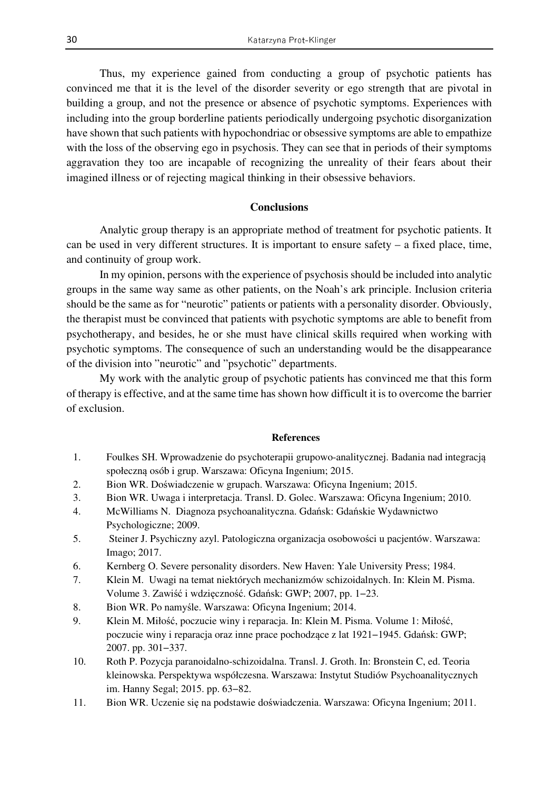Thus, my experience gained from conducting a group of psychotic patients has convinced me that it is the level of the disorder severity or ego strength that are pivotal in building a group, and not the presence or absence of psychotic symptoms. Experiences with including into the group borderline patients periodically undergoing psychotic disorganization have shown that such patients with hypochondriac or obsessive symptoms are able to empathize with the loss of the observing ego in psychosis. They can see that in periods of their symptoms aggravation they too are incapable of recognizing the unreality of their fears about their imagined illness or of rejecting magical thinking in their obsessive behaviors.

## **Conclusions**

Analytic group therapy is an appropriate method of treatment for psychotic patients. It can be used in very different structures. It is important to ensure safety – a fixed place, time, and continuity of group work.

In my opinion, persons with the experience of psychosis should be included into analytic groups in the same way same as other patients, on the Noah's ark principle. Inclusion criteria should be the same as for "neurotic" patients or patients with a personality disorder. Obviously, the therapist must be convinced that patients with psychotic symptoms are able to benefit from psychotherapy, and besides, he or she must have clinical skills required when working with psychotic symptoms. The consequence of such an understanding would be the disappearance of the division into "neurotic" and "psychotic" departments.

My work with the analytic group of psychotic patients has convinced me that this form of therapy is effective, and at the same time has shown how difficult it is to overcome the barrier of exclusion.

#### **References**

- 1. Foulkes SH. Wprowadzenie do psychoterapii grupowo-analitycznej. Badania nad integracją społeczną osób i grup. Warszawa: Oficyna Ingenium; 2015.
- 2. Bion WR. Doświadczenie w grupach. Warszawa: Oficyna Ingenium; 2015.
- 3. Bion WR. Uwaga i interpretacja. Transl. D. Golec. Warszawa: Oficyna Ingenium; 2010.
- 4. McWilliams N. Diagnoza psychoanalityczna. Gdańsk: Gdańskie Wydawnictwo Psychologiczne; 2009.
- 5. Steiner J. Psychiczny azyl. Patologiczna organizacja osobowości u pacjentów. Warszawa: Imago; 2017.
- 6. Kernberg O. Severe personality disorders. New Haven: Yale University Press; 1984.
- 7. Klein M. Uwagi na temat niektórych mechanizmów schizoidalnych. In: Klein M. Pisma. Volume 3. Zawiść i wdzięczność. Gdańsk: GWP; 2007, pp. 1−23.
- 8. Bion WR. Po namyśle. Warszawa: Oficyna Ingenium; 2014.
- 9. Klein M. Miłość, poczucie winy i reparacja. In: Klein M. Pisma. Volume 1: Miłość, poczucie winy i reparacja oraz inne prace pochodzące z lat 1921−1945. Gdańsk: GWP; 2007. pp. 301−337.
- 10. Roth P. Pozycja paranoidalno-schizoidalna. Transl. J. Groth. In: Bronstein C, ed. Teoria kleinowska. Perspektywa współczesna. Warszawa: Instytut Studiów Psychoanalitycznych im. Hanny Segal; 2015. pp. 63−82.
- 11. Bion WR. Uczenie się na podstawie doświadczenia. Warszawa: Oficyna Ingenium; 2011.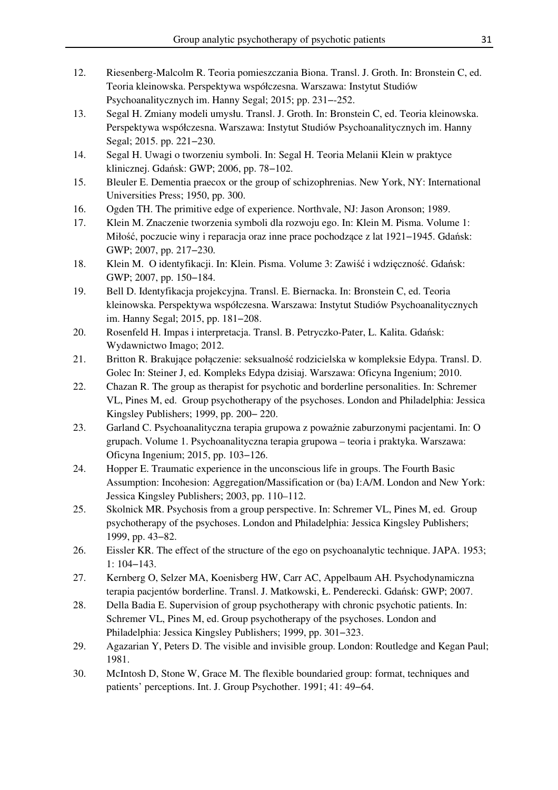- 12. Riesenberg-Malcolm R. Teoria pomieszczania Biona. Transl. J. Groth. In: Bronstein C, ed. Teoria kleinowska. Perspektywa współczesna. Warszawa: Instytut Studiów Psychoanalitycznych im. Hanny Segal; 2015; pp. 231−-252.
- 13. Segal H. Zmiany modeli umysłu. Transl. J. Groth. In: Bronstein C, ed. Teoria kleinowska. Perspektywa współczesna. Warszawa: Instytut Studiów Psychoanalitycznych im. Hanny Segal; 2015. pp. 221−230.
- 14. Segal H. Uwagi o tworzeniu symboli. In: Segal H. Teoria Melanii Klein w praktyce klinicznej. Gdańsk: GWP; 2006, pp. 78−102.
- 15. Bleuler E. Dementia praecox or the group of schizophrenias. New York, NY: International Universities Press; 1950, pp. 300.
- 16. Ogden TH. The primitive edge of experience. Northvale, NJ: Jason Aronson; 1989.
- 17. Klein M. Znaczenie tworzenia symboli dla rozwoju ego. In: Klein M. Pisma. Volume 1: Miłość, poczucie winy i reparacja oraz inne prace pochodzące z lat 1921−1945. Gdańsk: GWP; 2007, pp. 217−230.
- 18. Klein M. O identyfikacji. In: Klein. Pisma. Volume 3: Zawiść i wdzięczność. Gdańsk: GWP; 2007, pp. 150−184.
- 19. Bell D. Identyfikacja projekcyjna. Transl. E. Biernacka. In: Bronstein C, ed. Teoria kleinowska. Perspektywa współczesna. Warszawa: Instytut Studiów Psychoanalitycznych im. Hanny Segal; 2015, pp. 181−208.
- 20. Rosenfeld H. Impas i interpretacja. Transl. B. Petryczko-Pater, L. Kalita. Gdańsk: Wydawnictwo Imago; 2012.
- 21. Britton R. Brakujące połączenie: seksualność rodzicielska w kompleksie Edypa. Transl. D. Golec In: Steiner J, ed. Kompleks Edypa dzisiaj. Warszawa: Oficyna Ingenium; 2010.
- 22. Chazan R. The group as therapist for psychotic and borderline personalities. In: Schremer VL, Pines M, ed. Group psychotherapy of the psychoses. London and Philadelphia: Jessica Kingsley Publishers; 1999, pp. 200− 220.
- 23. Garland C. Psychoanalityczna terapia grupowa z poważnie zaburzonymi pacjentami. In: O grupach. Volume 1. Psychoanalityczna terapia grupowa – teoria i praktyka. Warszawa: Oficyna Ingenium; 2015, pp. 103−126.
- 24. Hopper E. Traumatic experience in the unconscious life in groups. The Fourth Basic Assumption: Incohesion: Aggregation/Massification or (ba) I:A/M. London and New York: Jessica Kingsley Publishers; 2003, pp. 110–112.
- 25. Skolnick MR. Psychosis from a group perspective. In: Schremer VL, Pines M, ed. Group psychotherapy of the psychoses. London and Philadelphia: Jessica Kingsley Publishers; 1999, pp. 43−82.
- 26. Eissler KR. The effect of the structure of the ego on psychoanalytic technique. JAPA. 1953; 1: 104−143.
- 27. Kernberg O, Selzer MA, Koenisberg HW, Carr AC, Appelbaum AH. Psychodynamiczna terapia pacjentów borderline. Transl. J. Matkowski, Ł. Penderecki. Gdańsk: GWP; 2007.
- 28. Della Badia E. Supervision of group psychotherapy with chronic psychotic patients. In: Schremer VL, Pines M, ed. Group psychotherapy of the psychoses. London and Philadelphia: Jessica Kingsley Publishers; 1999, pp. 301−323.
- 29. Agazarian Y, Peters D. The visible and invisible group. London: Routledge and Kegan Paul; 1981.
- 30. McIntosh D, Stone W, Grace M. The flexible boundaried group: format, techniques and patients' perceptions. Int. J. Group Psychother. 1991; 41: 49−64.